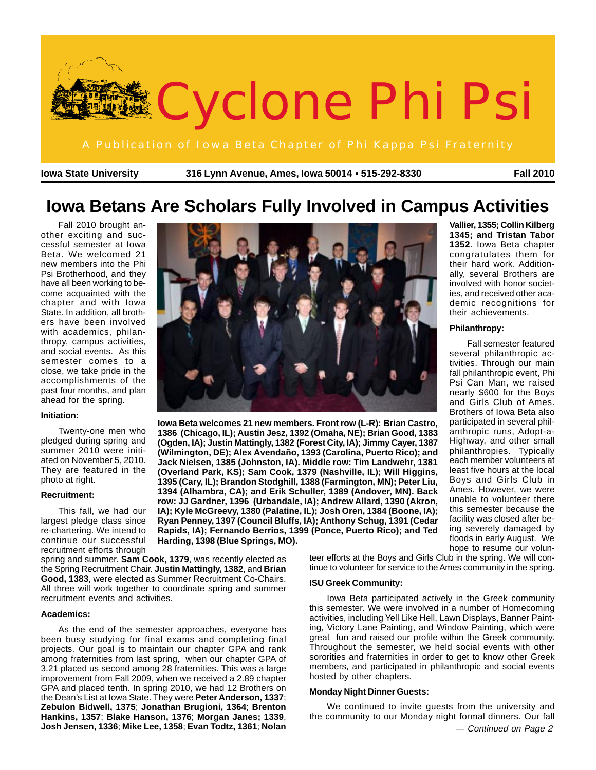

**Iowa State University 316 Lynn Avenue, Ames, Iowa 50014 515-292-8330** ● **Fall 2010**

## **Iowa Betans Are Scholars Fully Involved in Campus Activities**

Fall 2010 brought another exciting and successful semester at Iowa Beta. We welcomed 21 new members into the Phi Psi Brotherhood, and they have all been working to become acquainted with the chapter and with Iowa State. In addition, all brothers have been involved with academics, philanthropy, campus activities, and social events. As this semester comes to a close, we take pride in the accomplishments of the past four months, and plan ahead for the spring.

#### **Initiation:**

Twenty-one men who pledged during spring and summer 2010 were initiated on November 5, 2010. They are featured in the photo at right.

#### **Recruitment:**

This fall, we had our largest pledge class since re-chartering. We intend to continue our successful recruitment efforts through

spring and summer. **Sam Cook, 1379**, was recently elected as the Spring Recruitment Chair. **Justin Mattingly, 1382**, and **Brian Good, 1383**, were elected as Summer Recruitment Co-Chairs. All three will work together to coordinate spring and summer recruitment events and activities.

#### **Academics:**

As the end of the semester approaches, everyone has been busy studying for final exams and completing final projects. Our goal is to maintain our chapter GPA and rank among fraternities from last spring, when our chapter GPA of 3.21 placed us second among 28 fraternities. This was a large improvement from Fall 2009, when we received a 2.89 chapter GPA and placed tenth. In spring 2010, we had 12 Brothers on the Dean's List at Iowa State. They were **Peter Anderson, 1337**; **Zebulon Bidwell, 1375**; **Jonathan Brugioni, 1364**; **Brenton Hankins, 1357**; **Blake Hanson, 1376**; **Morgan Janes; 1339**, **Josh Jensen, 1336**; **Mike Lee, 1358**; **Evan Todtz, 1361**; **Nolan**



**Iowa Beta welcomes 21 new members. Front row (L-R): Brian Castro, 1386 (Chicago, IL); Austin Jesz, 1392 (Omaha, NE); Brian Good, 1383 (Ogden, IA); Justin Mattingly, 1382 (Forest City, IA); Jimmy Cayer, 1387 (Wilmington, DE); Alex Avendaño, 1393 (Carolina, Puerto Rico); and Jack Nielsen, 1385 (Johnston, IA). Middle row: Tim Landwehr, 1381 (Overland Park, KS); Sam Cook, 1379 (Nashville, IL); Will Higgins, 1395 (Cary, IL); Brandon Stodghill, 1388 (Farmington, MN); Peter Liu, 1394 (Alhambra, CA); and Erik Schuller, 1389 (Andover, MN). Back row: JJ Gardner, 1396 (Urbandale, IA); Andrew Allard, 1390 (Akron, IA); Kyle McGreevy, 1380 (Palatine, IL); Josh Oren, 1384 (Boone, IA); Ryan Penney, 1397 (Council Bluffs, IA); Anthony Schug, 1391 (Cedar Rapids, IA); Fernando Berrios, 1399 (Ponce, Puerto Rico); and Ted Harding, 1398 (Blue Springs, MO).**

> teer efforts at the Boys and Girls Club in the spring. We will continue to volunteer for service to the Ames community in the spring.

#### **ISU Greek Community:**

Iowa Beta participated actively in the Greek community this semester. We were involved in a number of Homecoming activities, including Yell Like Hell, Lawn Displays, Banner Painting, Victory Lane Painting, and Window Painting, which were great fun and raised our profile within the Greek community. Throughout the semester, we held social events with other sororities and fraternities in order to get to know other Greek members, and participated in philanthropic and social events hosted by other chapters.

#### **Monday Night Dinner Guests:**

We continued to invite guests from the university and the community to our Monday night formal dinners. Our fall

**Vallier, 1355; Collin Kilberg 1345; and Tristan Tabor 1352**. Iowa Beta chapter congratulates them for their hard work. Additionally, several Brothers are involved with honor societies, and received other academic recognitions for their achievements.

#### **Philanthropy:**

Fall semester featured several philanthropic activities. Through our main fall philanthropic event, Phi Psi Can Man, we raised nearly \$600 for the Boys and Girls Club of Ames. Brothers of Iowa Beta also participated in several philanthropic runs, Adopt-a-Highway, and other small philanthropies. Typically each member volunteers at least five hours at the local Boys and Girls Club in Ames. However, we were unable to volunteer there this semester because the facility was closed after being severely damaged by floods in early August. We hope to resume our volun-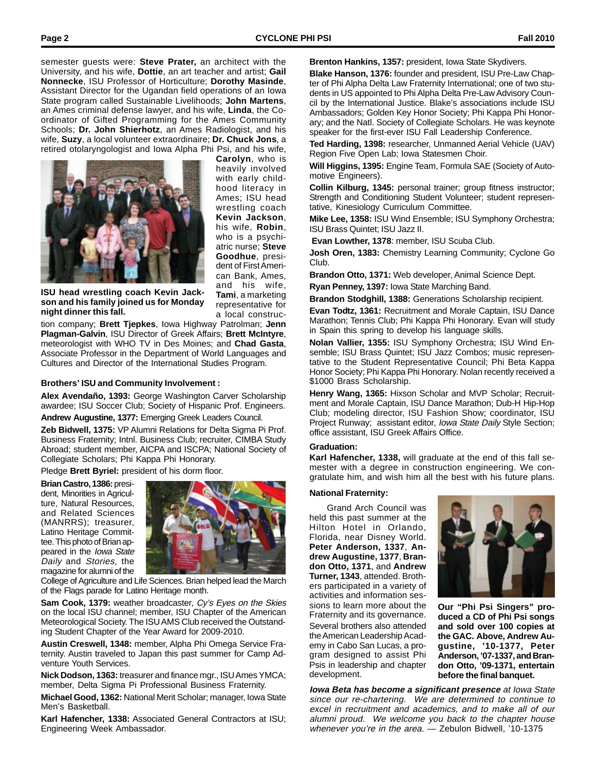semester guests were: **Steve Prater,** an architect with the University, and his wife, **Dottie**, an art teacher and artist; **Gail Nonnecke**, ISU Professor of Horticulture; **Dorothy Masinde**, Assistant Director for the Ugandan field operations of an Iowa State program called Sustainable Livelihoods; **John Martens**, an Ames criminal defense lawyer, and his wife, **Linda**, the Coordinator of Gifted Programming for the Ames Community Schools; **Dr. John Shierhotz**, an Ames Radiologist, and his wife, **Suzy**, a local volunteer extraordinaire; **Dr. Chuck Jons**, a retired otolaryngologist and Iowa Alpha Phi Psi, and his wife,



**Carolyn**, who is heavily involved with early childhood literacy in Ames; ISU head wrestling coach **Kevin Jackson**, his wife, **Robin**, who is a psychiatric nurse; **Steve Goodhue**, president of First American Bank, Ames, and his wife, **Tami**, a marketing representative for a local construc-

**ISU head wrestling coach Kevin Jackson and his family joined us for Monday night dinner this fall.**

tion company; **Brett Tjepkes**, Iowa Highway Patrolman; **Jenn Plagman-Galvin**, ISU Director of Greek Affairs; **Brett McIntyre**, meteorologist with WHO TV in Des Moines; and **Chad Gasta**, Associate Professor in the Department of World Languages and Cultures and Director of the International Studies Program.

#### **Brothers' ISU and Community Involvement :**

**Alex Avendaño, 1393:** George Washington Carver Scholarship awardee; ISU Soccer Club; Society of Hispanic Prof. Engineers.

**Andrew Augustine, 1377:** Emerging Greek Leaders Council.

**Zeb Bidwell, 1375:** VP Alumni Relations for Delta Sigma Pi Prof. Business Fraternity; Intnl. Business Club; recruiter, CIMBA Study Abroad; student member, AICPA and ISCPA; National Society of Collegiate Scholars; Phi Kappa Phi Honorary.

Pledge **Brett Byriel:** president of his dorm floor.

**Brian Castro, 1386:** president, Minorities in Agriculture, Natural Resources, and Related Sciences (MANRRS); treasurer, Latino Heritage Committee. This photo of Brian appeared in the Iowa State Daily and Stories, the magazine for alumni of the



College of Agriculture and Life Sciences. Brian helped lead the March of the Flags parade for Latino Heritage month.

**Sam Cook, 1379:** weather broadcaster, Cy's Eyes on the Skies on the local ISU channel; member, ISU Chapter of the American Meteorological Society. The ISU AMS Club received the Outstanding Student Chapter of the Year Award for 2009-2010.

**Austin Creswell, 1348:** member, Alpha Phi Omega Service Fraternity. Austin traveled to Japan this past summer for Camp Adventure Youth Services.

**Nick Dodson, 1363:** treasurer and finance mgr., ISU Ames YMCA; member, Delta Sigma Pi Professional Business Fraternity.

**Michael Good, 1362:** National Merit Scholar; manager, Iowa State Men's Basketball.

**Karl Hafencher, 1338:** Associated General Contractors at ISU; Engineering Week Ambassador.

**Brenton Hankins, 1357:** president, Iowa State Skydivers.

**Blake Hanson, 1376:** founder and president, ISU Pre-Law Chapter of Phi Alpha Delta Law Fraternity International; one of two students in US appointed to Phi Alpha Delta Pre-Law Advisory Council by the International Justice. Blake's associations include ISU Ambassadors; Golden Key Honor Society; Phi Kappa Phi Honorary; and the Natl. Society of Collegiate Scholars. He was keynote speaker for the first-ever ISU Fall Leadership Conference.

**Ted Harding, 1398:** researcher, Unmanned Aerial Vehicle (UAV) Region Five Open Lab; Iowa Statesmen Choir.

**Will Higgins, 1395:** Engine Team, Formula SAE (Society of Automotive Engineers).

**Collin Kilburg, 1345:** personal trainer; group fitness instructor; Strength and Conditioning Student Volunteer; student representative, Kinesiology Curriculum Committee.

**Mike Lee, 1358:** ISU Wind Ensemble; ISU Symphony Orchestra; ISU Brass Quintet; ISU Jazz II.

**Evan Lowther, 1378**: member, ISU Scuba Club.

**Josh Oren, 1383:** Chemistry Learning Community; Cyclone Go Club.

**Brandon Otto, 1371:** Web developer, Animal Science Dept.

**Ryan Penney, 1397:** Iowa State Marching Band.

**Brandon Stodghill, 1388:** Generations Scholarship recipient.

**Evan Todtz, 1361:** Recruitment and Morale Captain, ISU Dance Marathon; Tennis Club; Phi Kappa Phi Honorary. Evan will study in Spain this spring to develop his language skills.

**Nolan Vallier, 1355:** ISU Symphony Orchestra; ISU Wind Ensemble; ISU Brass Quintet; ISU Jazz Combos; music representative to the Student Representative Council; Phi Beta Kappa Honor Society; Phi Kappa Phi Honorary. Nolan recently received a \$1000 Brass Scholarship.

**Henry Wang, 1365:** Hixson Scholar and MVP Scholar; Recruitment and Morale Captain, ISU Dance Marathon; Dub-H Hip-Hop Club; modeling director, ISU Fashion Show; coordinator, ISU Project Runway; assistant editor, Iowa State Daily Style Section; office assistant, ISU Greek Affairs Office.

#### **Graduation:**

**Karl Hafencher, 1338,** will graduate at the end of this fall semester with a degree in construction engineering. We congratulate him, and wish him all the best with his future plans.

#### **National Fraternity:**

Grand Arch Council was held this past summer at the Hilton Hotel in Orlando, Florida, near Disney World. **Peter Anderson, 1337**, **Andrew Augustine, 1377**, **Brandon Otto, 1371**, and **Andrew Turner, 1343**, attended. Brothers participated in a variety of activities and information sessions to learn more about the Fraternity and its governance. Several brothers also attended the American Leadership Academy in Cabo San Lucas, a program designed to assist Phi Psis in leadership and chapter development.



**Our "Phi Psi Singers" produced a CD of Phi Psi songs and sold over 100 copies at the GAC. Above, Andrew Augustine, '10-1377, Peter Anderson, '07-1337, and Brandon Otto, '09-1371, entertain before the final banquet.**

**Iowa Beta has become a significant presence** at Iowa State since our re-chartering. We are determined to continue to excel in recruitment and academics, and to make all of our alumni proud. We welcome you back to the chapter house whenever you're in the area. — Zebulon Bidwell, '10-1375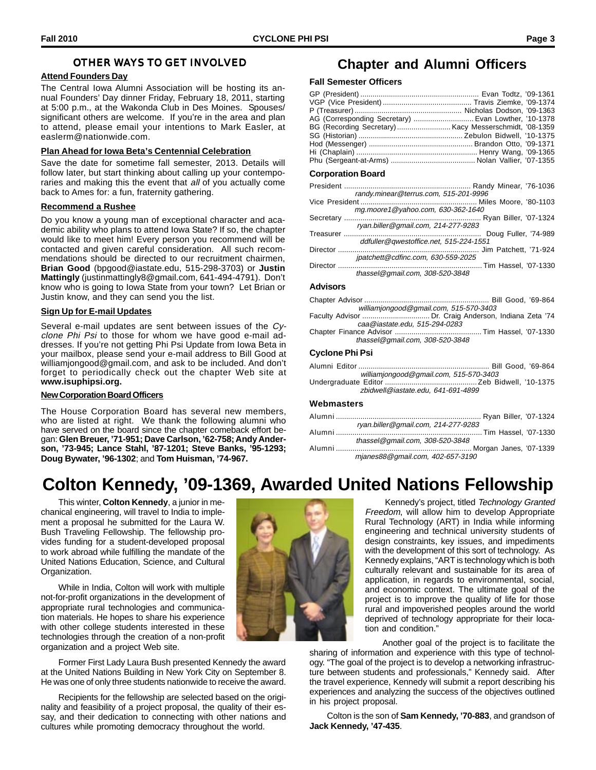### OTHER WAYS TO GET INVOLVED

#### **Attend Founders Day**

The Central Iowa Alumni Association will be hosting its annual Founders' Day dinner Friday, February 18, 2011, starting at 5:00 p.m., at the Wakonda Club in Des Moines. Spouses/ significant others are welcome. If you're in the area and plan to attend, please email your intentions to Mark Easler, at easlerm@nationwide.com.

#### **Plan Ahead for Iowa Beta's Centennial Celebration**

Save the date for sometime fall semester, 2013. Details will follow later, but start thinking about calling up your contemporaries and making this the event that all of you actually come back to Ames for: a fun, fraternity gathering.

#### **Recommend a Rushee**

Do you know a young man of exceptional character and academic ability who plans to attend Iowa State? If so, the chapter would like to meet him! Every person you recommend will be contacted and given careful consideration. All such recommendations should be directed to our recruitment chairmen, **Brian Good** (bpgood@iastate.edu, 515-298-3703) or **Justin Mattingly** (justinmattingly8@gmail.com, 641-494-4791). Don't know who is going to Iowa State from your town? Let Brian or Justin know, and they can send you the list.

#### **Sign Up for E-mail Updates**

Several e-mail updates are sent between issues of the Cyclone Phi Psi to those for whom we have good e-mail addresses. If you're not getting Phi Psi Update from Iowa Beta in your mailbox, please send your e-mail address to Bill Good at williamjongood@gmail.com, and ask to be included. And don't forget to periodically check out the chapter Web site at **www.isuphipsi.org.**

#### **New Corporation Board Officers**

The House Corporation Board has several new members, who are listed at right. We thank the following alumni who have served on the board since the chapter comeback effort began: **Glen Breuer, '71-951; Dave Carlson, '62-758; Andy Anderson, '73-945; Lance Stahl, '87-1201; Steve Banks, '95-1293; Doug Bywater, '96-1302**; and **Tom Huisman, '74-967.**

### **Chapter and Alumni Officers**

#### **Fall Semester Officers**

| AG (Corresponding Secretary)  Evan Lowther, '10-1378 |  |
|------------------------------------------------------|--|
|                                                      |  |
|                                                      |  |
|                                                      |  |
|                                                      |  |
|                                                      |  |

#### **Corporation Board**

| randy.minear@terrus.com, 515-201-9996  |
|----------------------------------------|
|                                        |
| mg.moore1@yahoo.com, 630-362-1640      |
|                                        |
| ryan.biller@gmail.com, 214-277-9283    |
|                                        |
| ddfuller@qwestoffice.net, 515-224-1551 |
|                                        |
| jpatchett@cdfinc.com, 630-559-2025     |
|                                        |
| thassel@gmail.com, 308-520-3848        |
|                                        |

#### **Advisors**

| thassel@gmail.com, 308-520-3848 |                                                       |
|---------------------------------|-------------------------------------------------------|
|                                 |                                                       |
| caa@iastate.edu. 515-294-0283   |                                                       |
|                                 | Faculty Advisor  Dr. Craig Anderson, Indiana Zeta '74 |
|                                 | williamjongood@gmail.com, 515-570-3403                |
|                                 |                                                       |
|                                 |                                                       |

#### **Cyclone Phi Psi**

| williamjongood@gmail.com, 515-570-3403 |  |
|----------------------------------------|--|
|                                        |  |
| zbidwell@iastate.edu. 641-691-4899     |  |

#### **Webmasters**

| ryan.biller@qmail.com, 214-277-9283 |
|-------------------------------------|
|                                     |
| thassel@gmail.com, 308-520-3848     |
|                                     |
| mianes88@gmail.com, 402-657-3190    |

### **Colton Kennedy, '09-1369, Awarded United Nations Fellowship**

This winter, **Colton Kennedy**, a junior in mechanical engineering, will travel to India to implement a proposal he submitted for the Laura W. Bush Traveling Fellowship. The fellowship provides funding for a student-developed proposal to work abroad while fulfilling the mandate of the United Nations Education, Science, and Cultural Organization.

While in India, Colton will work with multiple not-for-profit organizations in the development of appropriate rural technologies and communication materials. He hopes to share his experience with other college students interested in these technologies through the creation of a non-profit organization and a project Web site.

Former First Lady Laura Bush presented Kennedy the award at the United Nations Building in New York City on September 8. He was one of only three students nationwide to receive the award.

Recipients for the fellowship are selected based on the originality and feasibility of a project proposal, the quality of their essay, and their dedication to connecting with other nations and cultures while promoting democracy throughout the world.



Kennedy's project, titled Technology Granted Freedom, will allow him to develop Appropriate Rural Technology (ART) in India while informing engineering and technical university students of design constraints, key issues, and impediments with the development of this sort of technology. As Kennedy explains, "ART is technology which is both culturally relevant and sustainable for its area of application, in regards to environmental, social, and economic context. The ultimate goal of the project is to improve the quality of life for those rural and impoverished peoples around the world deprived of technology appropriate for their location and condition."

Another goal of the project is to facilitate the sharing of information and experience with this type of technol-

ogy. "The goal of the project is to develop a networking infrastructure between students and professionals," Kennedy said. After the travel experience, Kennedy will submit a report describing his experiences and analyzing the success of the objectives outlined in his project proposal.

Colton is the son of **Sam Kennedy, '70-883**, and grandson of **Jack Kennedy, '47-435**.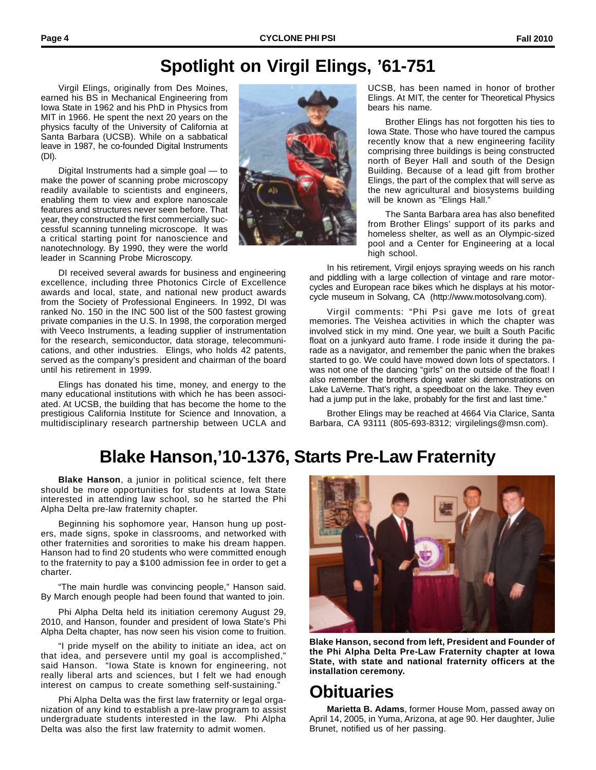## **Spotlight on Virgil Elings, '61-751**

Virgil Elings, originally from Des Moines, earned his BS in Mechanical Engineering from Iowa State in 1962 and his PhD in Physics from MIT in 1966. He spent the next 20 years on the physics faculty of the University of California at Santa Barbara (UCSB). While on a sabbatical leave in 1987, he co-founded Digital Instruments (DI).

Digital Instruments had a simple goal — to make the power of scanning probe microscopy readily available to scientists and engineers, enabling them to view and explore nanoscale features and structures never seen before. That year, they constructed the first commercially successful scanning tunneling microscope. It was a critical starting point for nanoscience and nanotechnology. By 1990, they were the world leader in Scanning Probe Microscopy.



DI received several awards for business and engineering excellence, including three Photonics Circle of Excellence awards and local, state, and national new product awards from the Society of Professional Engineers. In 1992, DI was ranked No. 150 in the INC 500 list of the 500 fastest growing private companies in the U.S. In 1998, the corporation merged with Veeco Instruments, a leading supplier of instrumentation for the research, semiconductor, data storage, telecommunications, and other industries. Elings, who holds 42 patents, served as the company's president and chairman of the board until his retirement in 1999.

Elings has donated his time, money, and energy to the many educational institutions with which he has been associated. At UCSB, the building that has become the home to the prestigious California Institute for Science and Innovation, a multidisciplinary research partnership between UCLA and



UCSB, has been named in honor of brother Elings. At MIT, the center for Theoretical Physics bears his name.

Brother Elings has not forgotten his ties to Iowa State. Those who have toured the campus recently know that a new engineering facility comprising three buildings is being constructed north of Beyer Hall and south of the Design Building. Because of a lead gift from brother Elings, the part of the complex that will serve as the new agricultural and biosystems building will be known as "Elings Hall."

The Santa Barbara area has also benefited from Brother Elings' support of its parks and homeless shelter, as well as an Olympic-sized pool and a Center for Engineering at a local high school.

In his retirement, Virgil enjoys spraying weeds on his ranch and piddling with a large collection of vintage and rare motorcycles and European race bikes which he displays at his motorcycle museum in Solvang, CA (http://www.motosolvang.com).

Virgil comments: "Phi Psi gave me lots of great memories. The Veishea activities in which the chapter was involved stick in my mind. One year, we built a South Pacific float on a junkyard auto frame. I rode inside it during the parade as a navigator, and remember the panic when the brakes started to go. We could have mowed down lots of spectators. I was not one of the dancing "girls" on the outside of the float! I also remember the brothers doing water ski demonstrations on Lake LaVerne. That's right, a speedboat on the lake. They even had a jump put in the lake, probably for the first and last time."

Brother Elings may be reached at 4664 Via Clarice, Santa Barbara, CA 93111 (805-693-8312; virgilelings@msn.com).

# **Blake Hanson,'10-1376, Starts Pre-Law Fraternity**

**Blake Hanson**, a junior in political science, felt there should be more opportunities for students at Iowa State interested in attending law school, so he started the Phi Alpha Delta pre-law fraternity chapter.

Beginning his sophomore year, Hanson hung up posters, made signs, spoke in classrooms, and networked with other fraternities and sororities to make his dream happen. Hanson had to find 20 students who were committed enough to the fraternity to pay a \$100 admission fee in order to get a charter.

"The main hurdle was convincing people," Hanson said. By March enough people had been found that wanted to join.

Phi Alpha Delta held its initiation ceremony August 29, 2010, and Hanson, founder and president of Iowa State's Phi Alpha Delta chapter, has now seen his vision come to fruition.

"I pride myself on the ability to initiate an idea, act on that idea, and persevere until my goal is accomplished," said Hanson. "Iowa State is known for engineering, not really liberal arts and sciences, but I felt we had enough interest on campus to create something self-sustaining."

Phi Alpha Delta was the first law fraternity or legal organization of any kind to establish a pre-law program to assist undergraduate students interested in the law. Phi Alpha Delta was also the first law fraternity to admit women.



**Blake Hanson, second from left, President and Founder of the Phi Alpha Delta Pre-Law Fraternity chapter at Iowa State, with state and national fraternity officers at the installation ceremony.**

### **Obituaries**

**Marietta B. Adams**, former House Mom, passed away on April 14, 2005, in Yuma, Arizona, at age 90. Her daughter, Julie Brunet, notified us of her passing.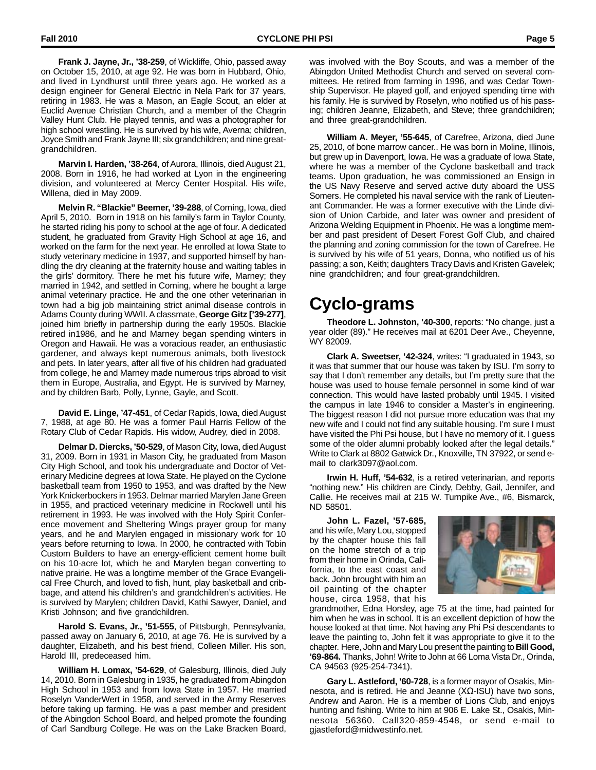**Frank J. Jayne, Jr., '38-259**, of Wickliffe, Ohio, passed away on October 15, 2010, at age 92. He was born in Hubbard, Ohio, and lived in Lyndhurst until three years ago. He worked as a design engineer for General Electric in Nela Park for 37 years, retiring in 1983. He was a Mason, an Eagle Scout, an elder at Euclid Avenue Christian Church, and a member of the Chagrin Valley Hunt Club. He played tennis, and was a photographer for high school wrestling. He is survived by his wife, Averna; children, Joyce Smith and Frank Jayne III; six grandchildren; and nine greatgrandchildren.

**Marvin I. Harden, '38-264**, of Aurora, Illinois, died August 21, 2008. Born in 1916, he had worked at Lyon in the engineering division, and volunteered at Mercy Center Hospital. His wife, Willena, died in May 2009.

**Melvin R. "Blackie" Beemer, '39-288**, of Corning, Iowa, died April 5, 2010. Born in 1918 on his family's farm in Taylor County, he started riding his pony to school at the age of four. A dedicated student, he graduated from Gravity High School at age 16, and worked on the farm for the next year. He enrolled at Iowa State to study veterinary medicine in 1937, and supported himself by handling the dry cleaning at the fraternity house and waiting tables in the girls' dormitory. There he met his future wife, Marney; they married in 1942, and settled in Corning, where he bought a large animal veterinary practice. He and the one other veterinarian in town had a big job maintaining strict animal disease controls in Adams County during WWII. A classmate, **George Gitz ['39-277]**, joined him briefly in partnership during the early 1950s. Blackie retired in1986, and he and Marney began spending winters in Oregon and Hawaii. He was a voracious reader, an enthusiastic gardener, and always kept numerous animals, both livestock and pets. In later years, after all five of his children had graduated from college, he and Marney made numerous trips abroad to visit them in Europe, Australia, and Egypt. He is survived by Marney, and by children Barb, Polly, Lynne, Gayle, and Scott.

**David E. Linge, '47-451**, of Cedar Rapids, Iowa, died August 7, 1988, at age 80. He was a former Paul Harris Fellow of the Rotary Club of Cedar Rapids. His widow, Audrey, died in 2008.

**Delmar D. Diercks, '50-529**, of Mason City, Iowa, died August 31, 2009. Born in 1931 in Mason City, he graduated from Mason City High School, and took his undergraduate and Doctor of Veterinary Medicine degrees at Iowa State. He played on the Cyclone basketball team from 1950 to 1953, and was drafted by the New York Knickerbockers in 1953. Delmar married Marylen Jane Green in 1955, and practiced veterinary medicine in Rockwell until his retirement in 1993. He was involved with the Holy Spirit Conference movement and Sheltering Wings prayer group for many years, and he and Marylen engaged in missionary work for 10 years before returning to Iowa. In 2000, he contracted with Tobin Custom Builders to have an energy-efficient cement home built on his 10-acre lot, which he and Marylen began converting to native prairie. He was a longtime member of the Grace Evangelical Free Church, and loved to fish, hunt, play basketball and cribbage, and attend his children's and grandchildren's activities. He is survived by Marylen; children David, Kathi Sawyer, Daniel, and Kristi Johnson; and five grandchildren.

**Harold S. Evans, Jr., '51-555**, of Pittsburgh, Pennsylvania, passed away on January 6, 2010, at age 76. He is survived by a daughter, Elizabeth, and his best friend, Colleen Miller. His son, Harold III, predeceased him.

**William H. Lomax, '54-629**, of Galesburg, Illinois, died July 14, 2010. Born in Galesburg in 1935, he graduated from Abingdon High School in 1953 and from Iowa State in 1957. He married Roselyn VanderWert in 1958, and served in the Army Reserves before taking up farming. He was a past member and president of the Abingdon School Board, and helped promote the founding of Carl Sandburg College. He was on the Lake Bracken Board,

was involved with the Boy Scouts, and was a member of the Abingdon United Methodist Church and served on several committees. He retired from farming in 1996, and was Cedar Township Supervisor. He played golf, and enjoyed spending time with his family. He is survived by Roselyn, who notified us of his passing; children Jeanne, Elizabeth, and Steve; three grandchildren; and three great-grandchildren.

**William A. Meyer, '55-645**, of Carefree, Arizona, died June 25, 2010, of bone marrow cancer.. He was born in Moline, Illinois, but grew up in Davenport, Iowa. He was a graduate of Iowa State, where he was a member of the Cyclone basketball and track teams. Upon graduation, he was commissioned an Ensign in the US Navy Reserve and served active duty aboard the USS Somers. He completed his naval service with the rank of Lieutenant Commander. He was a former executive with the Linde division of Union Carbide, and later was owner and president of Arizona Welding Equipment in Phoenix. He was a longtime member and past president of Desert Forest Golf Club, and chaired the planning and zoning commission for the town of Carefree. He is survived by his wife of 51 years, Donna, who notified us of his passing; a son, Keith; daughters Tracy Davis and Kristen Gavelek; nine grandchildren; and four great-grandchildren.

### **Cyclo-grams**

**Theodore L. Johnston, '40-300**, reports: "No change, just a year older (89)." He receives mail at 6201 Deer Ave., Cheyenne, WY 82009.

**Clark A. Sweetser, '42-324**, writes: "I graduated in 1943, so it was that summer that our house was taken by ISU. I'm sorry to say that I don't remember any details, but I'm pretty sure that the house was used to house female personnel in some kind of war connection. This would have lasted probably until 1945. I visited the campus in late 1946 to consider a Master's in engineering. The biggest reason I did not pursue more education was that my new wife and I could not find any suitable housing. I'm sure I must have visited the Phi Psi house, but I have no memory of it. I guess some of the older alumni probably looked after the legal details." Write to Clark at 8802 Gatwick Dr., Knoxville, TN 37922, or send email to clark3097@aol.com.

**Irwin H. Huff, '54-632**, is a retired veterinarian, and reports "nothing new." His children are Cindy, Debby, Gail, Jennifer, and Callie. He receives mail at 215 W. Turnpike Ave., #6, Bismarck, ND 58501.

**John L. Fazel, '57-685,** and his wife, Mary Lou, stopped by the chapter house this fall on the home stretch of a trip from their home in Orinda, California, to the east coast and back. John brought with him an oil painting of the chapter house, circa 1958, that his



grandmother, Edna Horsley, age 75 at the time, had painted for him when he was in school. It is an excellent depiction of how the house looked at that time. Not having any Phi Psi descendants to leave the painting to, John felt it was appropriate to give it to the chapter. Here, John and Mary Lou present the painting to **Bill Good, '69-864.** Thanks, John! Write to John at 66 Loma Vista Dr., Orinda, CA 94563 (925-254-7341).

**Gary L. Astleford, '60-728**, is a former mayor of Osakis, Minnesota, and is retired. He and Jeanne  $(XΩ-ISU)$  have two sons, Andrew and Aaron. He is a member of Lions Club, and enjoys hunting and fishing. Write to him at 906 E. Lake St., Osakis, Minnesota 56360. Call320-859-4548, or send e-mail to gjastleford@midwestinfo.net.